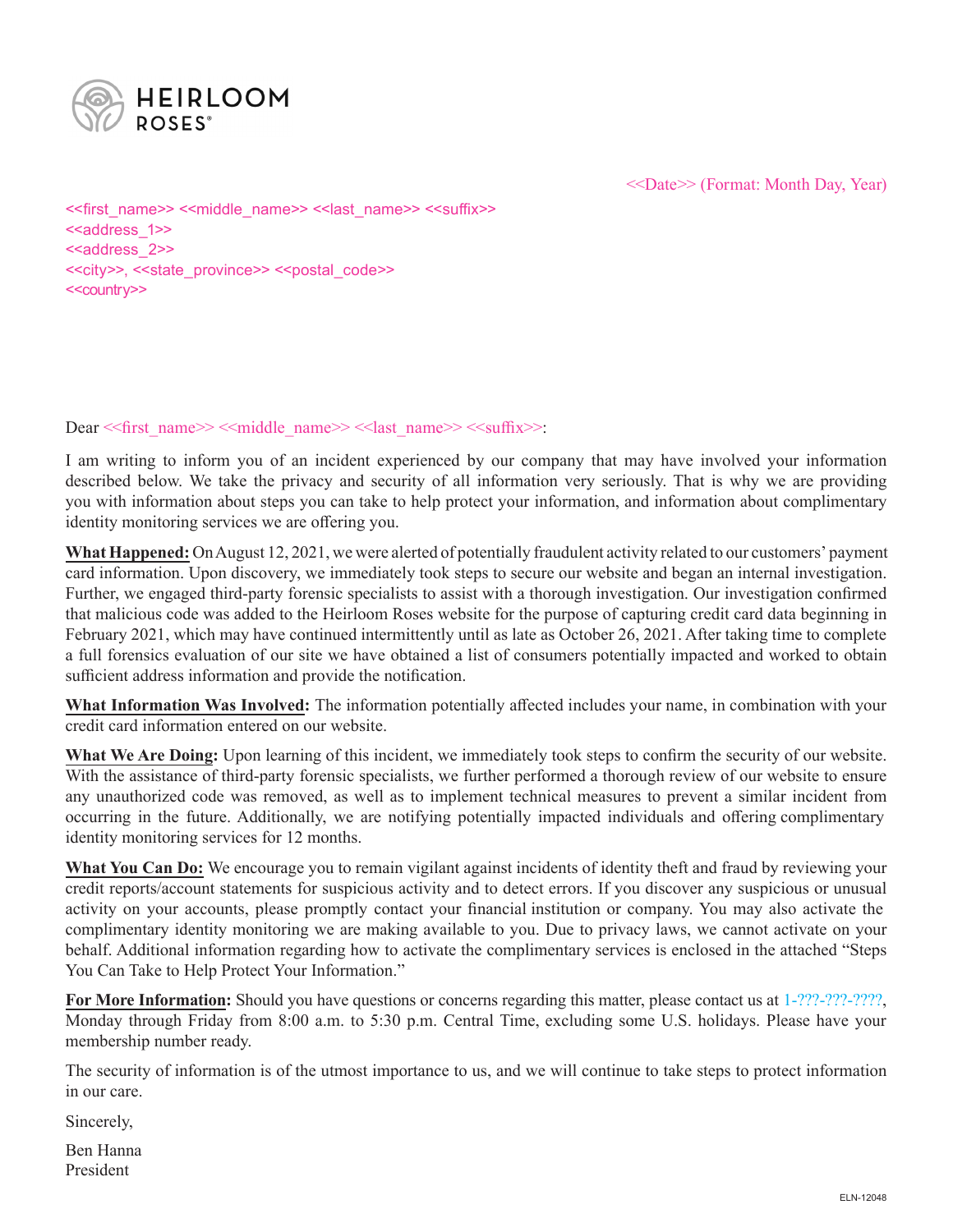

<<Date>> (Format: Month Day, Year)

<<first\_name>> <<middle\_name>> <<last\_name>> <<suffix>> <<aaddress\_1>> <<address 2>> <<city>>, <<state\_province>> <<postal\_code>> <<country>>

#### Dear << first\_name>> << middle\_name>> << last\_name>> << suffix>>:

I am writing to inform you of an incident experienced by our company that may have involved your information described below. We take the privacy and security of all information very seriously. That is why we are providing you with information about steps you can take to help protect your information, and information about complimentary identity monitoring services we are offering you.

**What Happened:** On August 12, 2021, we were alerted of potentially fraudulent activity related to our customers' payment card information. Upon discovery, we immediately took steps to secure our website and began an internal investigation. Further, we engaged third-party forensic specialists to assist with a thorough investigation. Our investigation confirmed that malicious code was added to the Heirloom Roses website for the purpose of capturing credit card data beginning in February 2021, which may have continued intermittently until as late as October 26, 2021. After taking time to complete a full forensics evaluation of our site we have obtained a list of consumers potentially impacted and worked to obtain sufficient address information and provide the notification.

**What Information Was Involved:** The information potentially affected includes your name, in combination with your credit card information entered on our website.

**What We Are Doing:** Upon learning of this incident, we immediately took steps to confirm the security of our website. With the assistance of third-party forensic specialists, we further performed a thorough review of our website to ensure any unauthorized code was removed, as well as to implement technical measures to prevent a similar incident from occurring in the future. Additionally, we are notifying potentially impacted individuals and offering complimentary identity monitoring services for 12 months.

**What You Can Do:** We encourage you to remain vigilant against incidents of identity theft and fraud by reviewing your credit reports/account statements for suspicious activity and to detect errors. If you discover any suspicious or unusual activity on your accounts, please promptly contact your financial institution or company. You may also activate the complimentary identity monitoring we are making available to you. Due to privacy laws, we cannot activate on your behalf. Additional information regarding how to activate the complimentary services is enclosed in the attached "Steps You Can Take to Help Protect Your Information."

**For More Information:** Should you have questions or concerns regarding this matter, please contact us at 1-???-????,????, Monday through Friday from 8:00 a.m. to 5:30 p.m. Central Time, excluding some U.S. holidays. Please have your membership number ready.

The security of information is of the utmost importance to us, and we will continue to take steps to protect information in our care.

Sincerely,

Ben Hanna President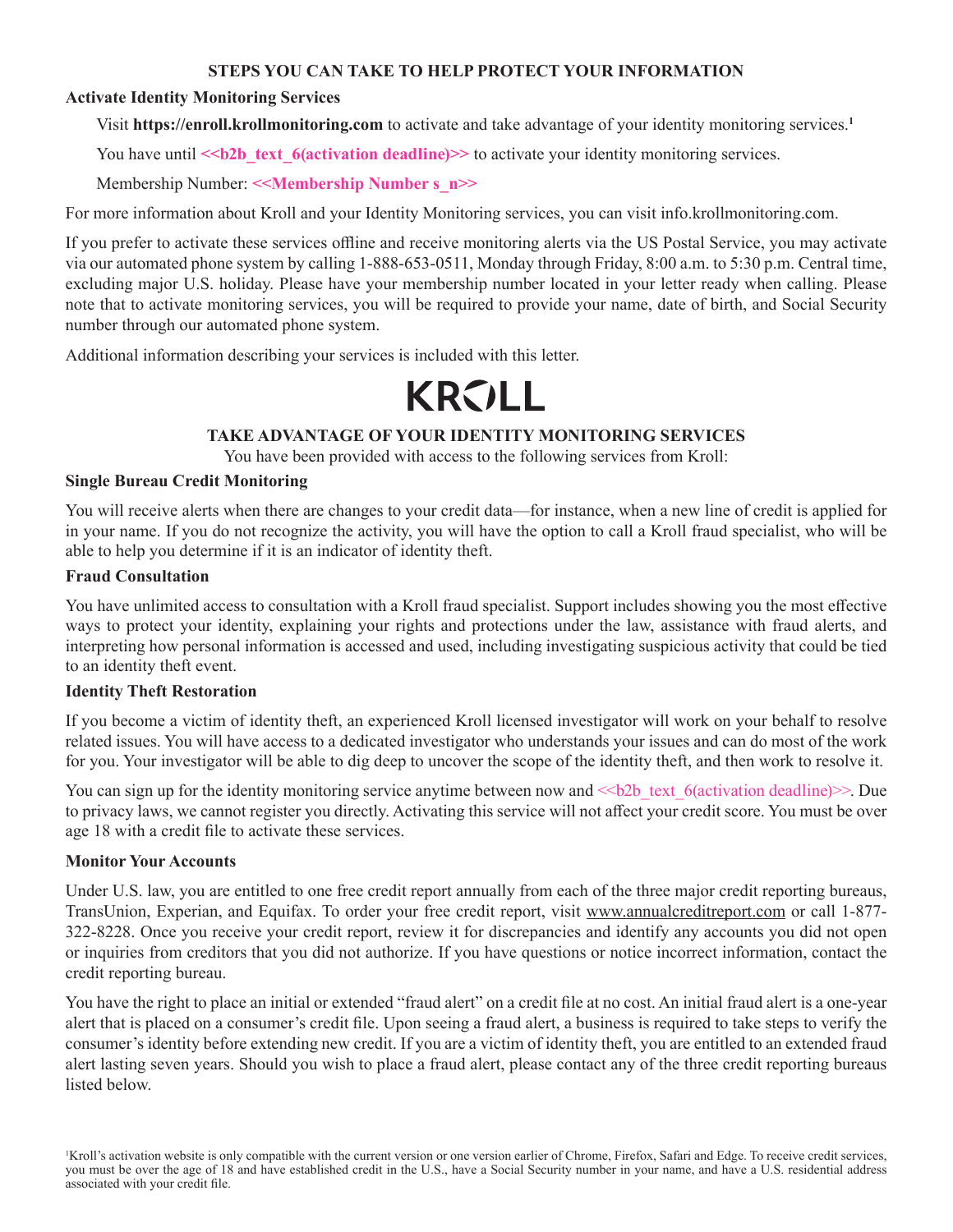#### **STEPS YOU CAN TAKE TO HELP PROTECT YOUR INFORMATION**

## **Activate Identity Monitoring Services**

Visit **https://enroll.krollmonitoring.com** to activate and take advantage of your identity monitoring services.**<sup>1</sup>**

You have until  $\le b2b$  text 6(activation deadline)>> to activate your identity monitoring services.

Membership Number: **<<Membership Number s\_n>>**

For more information about Kroll and your Identity Monitoring services, you can visit info.krollmonitoring.com.

If you prefer to activate these services offline and receive monitoring alerts via the US Postal Service, you may activate via our automated phone system by calling 1-888-653-0511, Monday through Friday, 8:00 a.m. to 5:30 p.m. Central time, excluding major U.S. holiday. Please have your membership number located in your letter ready when calling. Please note that to activate monitoring services, you will be required to provide your name, date of birth, and Social Security number through our automated phone system.

Additional information describing your services is included with this letter.

# **KRVLL**

# **TAKE ADVANTAGE OF YOUR IDENTITY MONITORING SERVICES**

You have been provided with access to the following services from Kroll:

### **Single Bureau Credit Monitoring**

You will receive alerts when there are changes to your credit data—for instance, when a new line of credit is applied for in your name. If you do not recognize the activity, you will have the option to call a Kroll fraud specialist, who will be able to help you determine if it is an indicator of identity theft.

### **Fraud Consultation**

You have unlimited access to consultation with a Kroll fraud specialist. Support includes showing you the most effective ways to protect your identity, explaining your rights and protections under the law, assistance with fraud alerts, and interpreting how personal information is accessed and used, including investigating suspicious activity that could be tied to an identity theft event.

#### **Identity Theft Restoration**

If you become a victim of identity theft, an experienced Kroll licensed investigator will work on your behalf to resolve related issues. You will have access to a dedicated investigator who understands your issues and can do most of the work for you. Your investigator will be able to dig deep to uncover the scope of the identity theft, and then work to resolve it.

You can sign up for the identity monitoring service anytime between now and  $\le b2b$  text 6(activation deadline) $\ge$ . Due to privacy laws, we cannot register you directly. Activating this service will not affect your credit score. You must be over age 18 with a credit file to activate these services.

# **Monitor Your Accounts**

Under U.S. law, you are entitled to one free credit report annually from each of the three major credit reporting bureaus, TransUnion, Experian, and Equifax. To order your free credit report, visit www.annualcreditreport.com or call 1-877- 322-8228. Once you receive your credit report, review it for discrepancies and identify any accounts you did not open or inquiries from creditors that you did not authorize. If you have questions or notice incorrect information, contact the credit reporting bureau.

You have the right to place an initial or extended "fraud alert" on a credit file at no cost. An initial fraud alert is a one-year alert that is placed on a consumer's credit file. Upon seeing a fraud alert, a business is required to take steps to verify the consumer's identity before extending new credit. If you are a victim of identity theft, you are entitled to an extended fraud alert lasting seven years. Should you wish to place a fraud alert, please contact any of the three credit reporting bureaus listed below.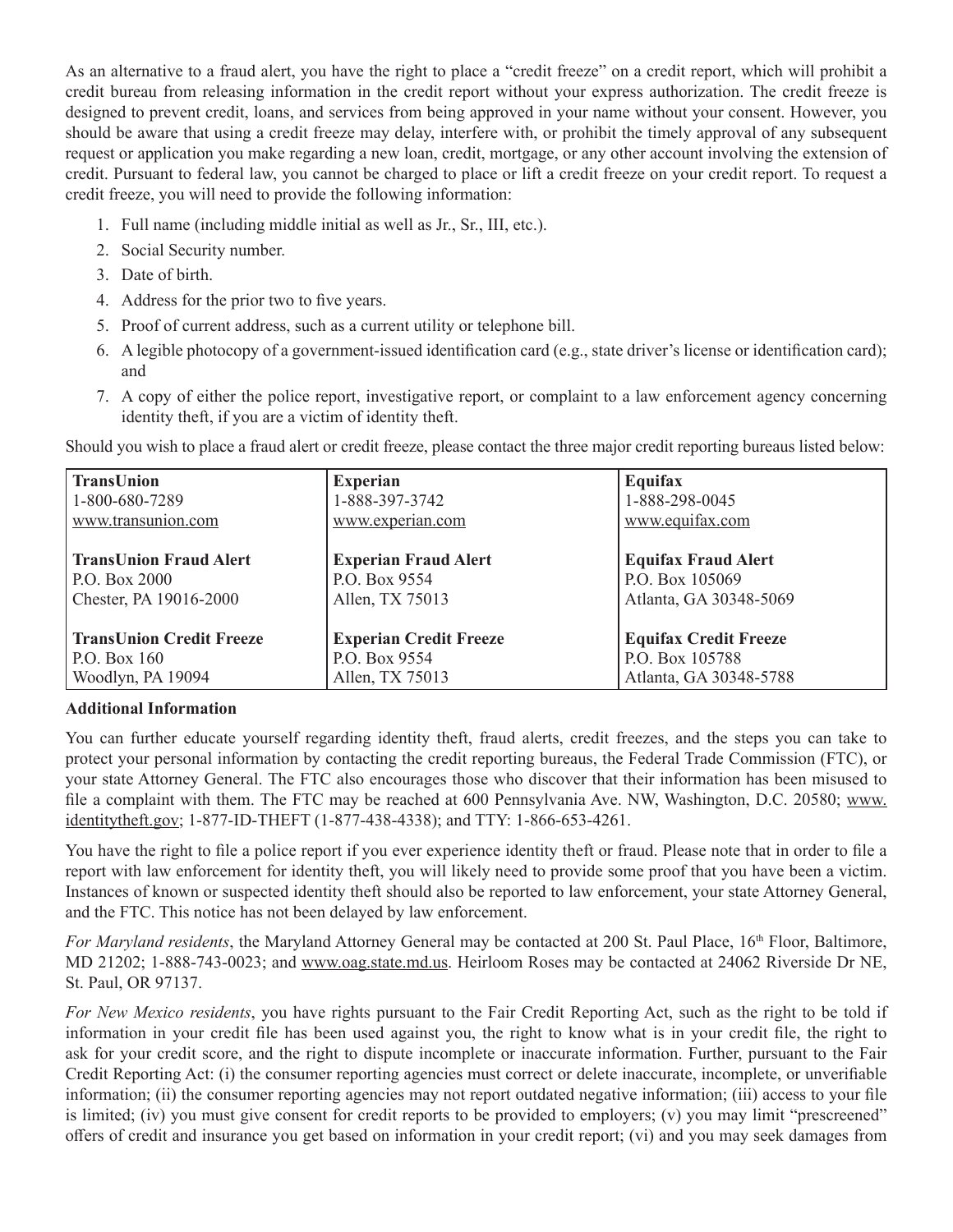As an alternative to a fraud alert, you have the right to place a "credit freeze" on a credit report, which will prohibit a credit bureau from releasing information in the credit report without your express authorization. The credit freeze is designed to prevent credit, loans, and services from being approved in your name without your consent. However, you should be aware that using a credit freeze may delay, interfere with, or prohibit the timely approval of any subsequent request or application you make regarding a new loan, credit, mortgage, or any other account involving the extension of credit. Pursuant to federal law, you cannot be charged to place or lift a credit freeze on your credit report. To request a credit freeze, you will need to provide the following information:

- 1. Full name (including middle initial as well as Jr., Sr., III, etc.).
- 2. Social Security number.
- 3. Date of birth.
- 4. Address for the prior two to five years.
- 5. Proof of current address, such as a current utility or telephone bill.
- 6. A legible photocopy of a government-issued identification card (e.g., state driver's license or identification card); and
- 7. A copy of either the police report, investigative report, or complaint to a law enforcement agency concerning identity theft, if you are a victim of identity theft.

Should you wish to place a fraud alert or credit freeze, please contact the three major credit reporting bureaus listed below:

| <b>TransUnion</b>               | <b>Experian</b>               | Equifax                      |
|---------------------------------|-------------------------------|------------------------------|
| $1-800-680-7289$                | 1-888-397-3742                | 1-888-298-0045               |
| www.transunion.com              | www.experian.com              | www.equifax.com              |
|                                 |                               |                              |
| <b>TransUnion Fraud Alert</b>   | <b>Experian Fraud Alert</b>   | <b>Equifax Fraud Alert</b>   |
| P.O. Box 2000                   | P.O. Box 9554                 | P.O. Box 105069              |
| Chester, PA 19016-2000          | Allen, TX 75013               | Atlanta, GA 30348-5069       |
|                                 |                               |                              |
| <b>TransUnion Credit Freeze</b> | <b>Experian Credit Freeze</b> | <b>Equifax Credit Freeze</b> |
| P.O. Box 160                    | P.O. Box 9554                 | P.O. Box 105788              |
| Woodlyn, PA 19094               | Allen, TX 75013               | Atlanta, GA 30348-5788       |

#### **Additional Information**

You can further educate yourself regarding identity theft, fraud alerts, credit freezes, and the steps you can take to protect your personal information by contacting the credit reporting bureaus, the Federal Trade Commission (FTC), or your state Attorney General. The FTC also encourages those who discover that their information has been misused to file a complaint with them. The FTC may be reached at 600 Pennsylvania Ave. NW, Washington, D.C. 20580; www. identitytheft.gov; 1-877-ID-THEFT (1-877-438-4338); and TTY: 1-866-653-4261.

You have the right to file a police report if you ever experience identity theft or fraud. Please note that in order to file a report with law enforcement for identity theft, you will likely need to provide some proof that you have been a victim. Instances of known or suspected identity theft should also be reported to law enforcement, your state Attorney General, and the FTC. This notice has not been delayed by law enforcement.

*For Maryland residents*, the Maryland Attorney General may be contacted at 200 St. Paul Place, 16<sup>th</sup> Floor, Baltimore, MD 21202; 1-888-743-0023; and www.oag.state.md.us. Heirloom Roses may be contacted at 24062 Riverside Dr NE, St. Paul, OR 97137.

*For New Mexico residents*, you have rights pursuant to the Fair Credit Reporting Act, such as the right to be told if information in your credit file has been used against you, the right to know what is in your credit file, the right to ask for your credit score, and the right to dispute incomplete or inaccurate information. Further, pursuant to the Fair Credit Reporting Act: (i) the consumer reporting agencies must correct or delete inaccurate, incomplete, or unverifiable information; (ii) the consumer reporting agencies may not report outdated negative information; (iii) access to your file is limited; (iv) you must give consent for credit reports to be provided to employers; (v) you may limit "prescreened" offers of credit and insurance you get based on information in your credit report; (vi) and you may seek damages from